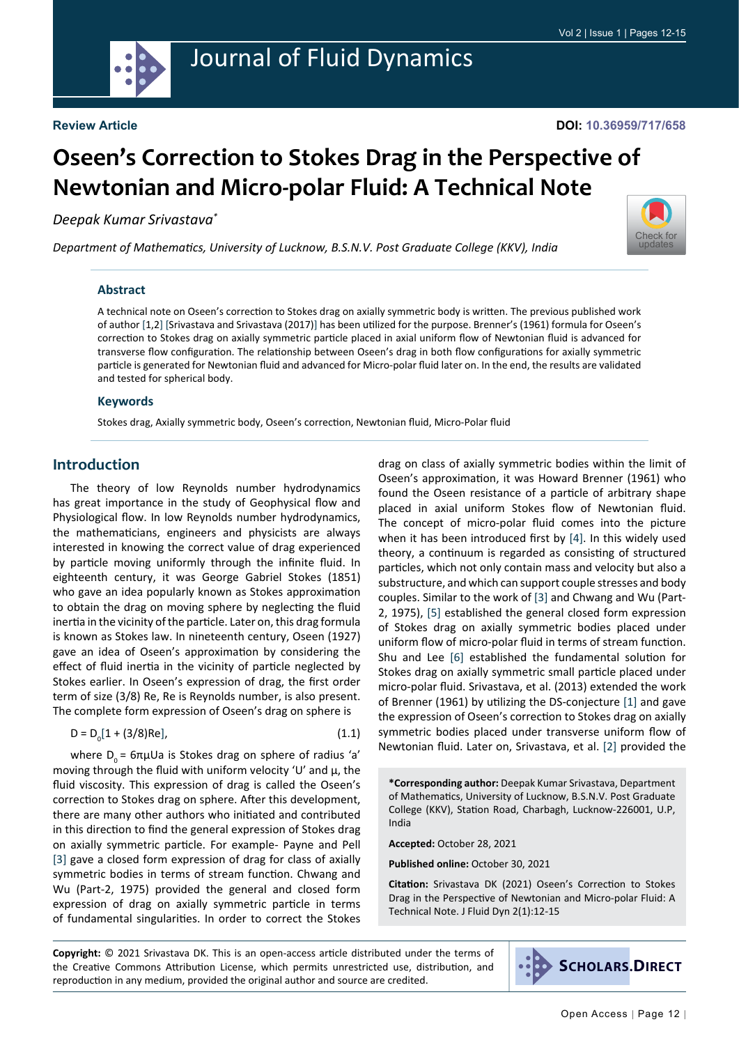

# Journal of Fluid Dynamics

#### **DOI: 10.36959/717/658**

# **Oseen's Correction to Stokes Drag in the Perspective of Newtonian and Micro-polar Fluid: A Technical Note**

*Deepak Kumar Srivastava\**

*Department of Mathematics, University of Lucknow, B.S.N.V. Post Graduate College (KKV), India*



#### **Abstract**

A technical note on Oseen's correction to Stokes drag on axially symmetric body is written. The previous published work of author [1,2] [Srivastava and Srivastava (2017)] has been utilized for the purpose. Brenner's (1961) formula for Oseen's correction to Stokes drag on axially symmetric particle placed in axial uniform flow of Newtonian fluid is advanced for transverse flow configuration. The relationship between Oseen's drag in both flow configurations for axially symmetric particle is generated for Newtonian fluid and advanced for Micro-polar fluid later on. In the end, the results are validated and tested for spherical body.

#### **Keywords**

Stokes drag, Axially symmetric body, Oseen's correction, Newtonian fluid, Micro-Polar fluid

#### **Introduction**

The theory of low Reynolds number hydrodynamics has great importance in the study of Geophysical flow and Physiological flow. In low Reynolds number hydrodynamics, the mathematicians, engineers and physicists are always interested in knowing the correct value of drag experienced by particle moving uniformly through the infinite fluid. In eighteenth century, it was George Gabriel Stokes (1851) who gave an idea popularly known as Stokes approximation to obtain the drag on moving sphere by neglecting the fluid inertia in the vicinity of the particle. Later on, this drag formula is known as Stokes law. In nineteenth century, Oseen (1927) gave an idea of Oseen's approximation by considering the effect of fluid inertia in the vicinity of particle neglected by Stokes earlier. In Oseen's expression of drag, the first order term of size (3/8) Re, Re is Reynolds number, is also present. The complete form expression of Oseen's drag on sphere is

$$
D = D_0[1 + (3/8)Re],
$$
 (1.1)

where  $D_0 = 6πμUa$  is Stokes drag on sphere of radius 'a' moving through the fluid with uniform velocity 'U' and  $\mu$ , the fluid viscosity. This expression of drag is called the Oseen's correction to Stokes drag on sphere. After this development, there are many other authors who initiated and contributed in this direction to find the general expression of Stokes drag on axially symmetric particle. For example- Payne and Pell [[3\]](#page-3-0) gave a closed form expression of drag for class of axially symmetric bodies in terms of stream function. Chwang and Wu (Part-2, 1975) provided the general and closed form expression of drag on axially symmetric particle in terms of fundamental singularities. In order to correct the Stokes drag on class of axially symmetric bodies within the limit of Oseen's approximation, it was Howard Brenner (1961) who found the Oseen resistance of a particle of arbitrary shape placed in axial uniform Stokes flow of Newtonian fluid. The concept of micro-polar fluid comes into the picture when it has been introduced first by [[4\]](#page-3-1). In this widely used theory, a continuum is regarded as consisting of structured particles, which not only contain mass and velocity but also a substructure, and which can support couple stresses and body couples. Similar to the work of [[3\]](#page-3-0) and Chwang and Wu (Part-2, 1975), [\[5](#page-3-2)] established the general closed form expression of Stokes drag on axially symmetric bodies placed under uniform flow of micro-polar fluid in terms of stream function. Shu and Lee [[6\]](#page-3-3) established the fundamental solution for Stokes drag on axially symmetric small particle placed under micro-polar fluid. Srivastava, et al. (2013) extended the work of Brenner (1961) by utilizing the DS-conjecture [\[1](#page-3-4)] and gave the expression of Oseen's correction to Stokes drag on axially symmetric bodies placed under transverse uniform flow of Newtonian fluid. Later on, Srivastava, et al. [[2](#page-3-5)] provided the

**Accepted:** October 28, 2021

**Published online:** October 30, 2021

**Citation:** Srivastava DK (2021) Oseen's Correction to Stokes Drag in the Perspective of Newtonian and Micro-polar Fluid: A Technical Note. J Fluid Dyn 2(1):12-15

**Copyright:** © 2021 Srivastava DK. This is an open-access article distributed under the terms of the Creative Commons Attribution License, which permits unrestricted use, distribution, and reproduction in any medium, provided the original author and source are credited.



**<sup>\*</sup>Corresponding author:** Deepak Kumar Srivastava, Department of Mathematics, University of Lucknow, B.S.N.V. Post Graduate College (KKV), Station Road, Charbagh, Lucknow-226001, U.P, India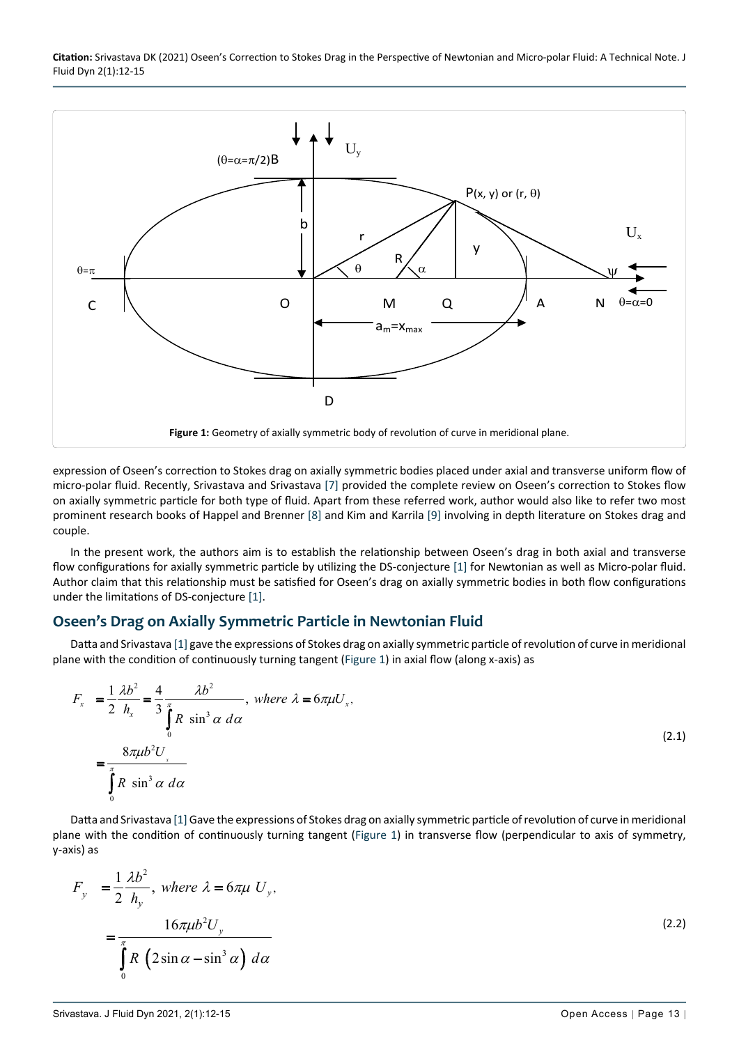**Citation:** Srivastava DK (2021) Oseen's Correction to Stokes Drag in the Perspective of Newtonian and Micro-polar Fluid: A Technical Note. J Fluid Dyn 2(1):12-15

<span id="page-1-0"></span>

expression of Oseen's correction to Stokes drag on axially symmetric bodies placed under axial and transverse uniform flow of micro-polar fluid. Recently, Srivastava and Srivastava [[7\]](#page-3-6) provided the complete review on Oseen's correction to Stokes flow on axially symmetric particle for both type of fluid. Apart from these referred work, author would also like to refer two most prominent research books of Happel and Brenner [\[8](#page-3-7)] and Kim and Karrila [\[9](#page-3-8)] involving in depth literature on Stokes drag and couple.

In the present work, the authors aim is to establish the relationship between Oseen's drag in both axial and transverse flow configurations for axially symmetric particle by utilizing the DS-conjecture [\[1](#page-3-4)] for Newtonian as well as Micro-polar fluid. Author claim that this relationship must be satisfied for Oseen's drag on axially symmetric bodies in both flow configurations under the limitations of DS-conjecture [\[1](#page-3-4)].

### **Oseen's Drag on Axially Symmetric Particle in Newtonian Fluid**

Datta and Srivastava [\[1](#page-3-4)] gave the expressions of Stokes drag on axially symmetric particle of revolution of curve in meridional plane with the condition of continuously turning tangent ([Figure 1\)](#page-1-0) in axial flow (along x-axis) as

$$
F_x = \frac{1}{2} \frac{\lambda b^2}{h_x} = \frac{4}{3} \frac{\lambda b^2}{\int_0^{\pi} R \sin^3 \alpha \, d\alpha}, \text{ where } \lambda = 6\pi \mu U_x,
$$
\n
$$
= \frac{8\pi \mu b^2 U_x}{\int_0^{\pi} R \sin^3 \alpha \, d\alpha} \tag{2.1}
$$

Datta and Srivastava [[1\]](#page-3-4) Gave the expressions of Stokes drag on axially symmetric particle of revolution of curve in meridional plane with the condition of continuously turning tangent [\(Figure 1\)](#page-1-0) in transverse flow (perpendicular to axis of symmetry, y-axis) as

$$
F_y = \frac{1}{2} \frac{\lambda b^2}{h_y}, \text{ where } \lambda = 6\pi\mu \ U_y,
$$
  
= 
$$
\frac{16\pi\mu b^2 U_y}{\int_0^{\pi} R \left(2\sin\alpha - \sin^3\alpha\right) d\alpha}
$$
 (2.2)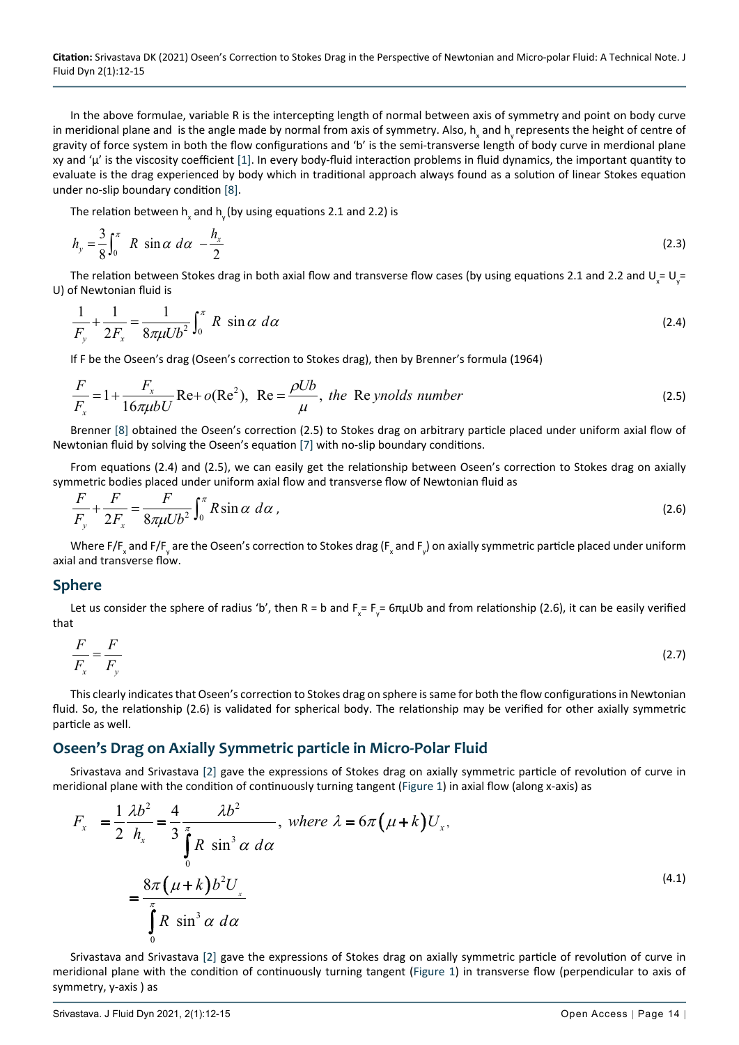**Citation:** Srivastava DK (2021) Oseen's Correction to Stokes Drag in the Perspective of Newtonian and Micro-polar Fluid: A Technical Note. J Fluid Dyn 2(1):12-15

In the above formulae, variable R is the intercepting length of normal between axis of symmetry and point on body curve in meridional plane and is the angle made by normal from axis of symmetry. Also,  $h_{\chi}$  and  $h_{\chi}$  represents the height of centre of gravity of force system in both the flow configurations and 'b' is the semi-transverse length of body curve in merdional plane xy and 'µ' is the viscosity coefficient [\[1](#page-3-4)]. In every body-fluid interaction problems in fluid dynamics, the important quantity to evaluate is the drag experienced by body which in traditional approach always found as a solution of linear Stokes equation under no-slip boundary condition [[8\]](#page-3-7).

The relation between  $h_{\rm x}$  and  $h_{\rm y}$  (by using equations 2.1 and 2.2) is

$$
h_y = \frac{3}{8} \int_0^{\pi} R \sin \alpha \, d\alpha - \frac{h_x}{2} \tag{2.3}
$$

The relation between Stokes drag in both axial flow and transverse flow cases (by using equations 2.1 and 2.2 and  $\bigcup_{x}= \bigcup_{y}$ U) of Newtonian fluid is

$$
\frac{1}{F_y} + \frac{1}{2F_x} = \frac{1}{8\pi\mu U b^2} \int_0^\pi R \sin \alpha \, d\alpha \tag{2.4}
$$

If F be the Oseen's drag (Oseen's correction to Stokes drag), then by Brenner's formula (1964)

$$
\frac{F}{F_x} = 1 + \frac{F_x}{16\pi\mu bU} \text{Re} + o(\text{Re}^2), \text{ Re} = \frac{\rho Ub}{\mu}, \text{ the Re ynolds number}
$$
\n(2.5)

Brenner [\[8\]](#page-3-7) obtained the Oseen's correction (2.5) to Stokes drag on arbitrary particle placed under uniform axial flow of Newtonian fluid by solving the Oseen's equation [\[7](#page-3-6)] with no-slip boundary conditions.

From equations (2.4) and (2.5), we can easily get the relationship between Oseen's correction to Stokes drag on axially symmetric bodies placed under uniform axial flow and transverse flow of Newtonian fluid as

$$
\frac{F}{F_y} + \frac{F}{2F_x} = \frac{F}{8\pi\mu U b^2} \int_0^\pi R \sin \alpha \, d\alpha \,,\tag{2.6}
$$

Where F/F<sub>x</sub> and F/F<sub>y</sub> are the Oseen's correction to Stokes drag (F<sub>x</sub> and F<sub>y</sub>) on axially symmetric particle placed under uniform axial and transverse flow.

#### **Sphere**

Let us consider the sphere of radius 'b', then R = b and F<sub>x</sub> = F<sub>y</sub> = 6πμUb and from relationship (2.6), it can be easily verified that

$$
\frac{F}{F_x} = \frac{F}{F_y} \tag{2.7}
$$

This clearly indicates that Oseen's correction to Stokes drag on sphere is same for both the flow configurations in Newtonian fluid. So, the relationship (2.6) is validated for spherical body. The relationship may be verified for other axially symmetric particle as well.

#### **Oseen's Drag on Axially Symmetric particle in Micro-Polar Fluid**

Srivastava and Srivastava [[2\]](#page-3-5) gave the expressions of Stokes drag on axially symmetric particle of revolution of curve in meridional plane with the condition of continuously turning tangent ([Figure 1\)](#page-1-0) in axial flow (along x-axis) as

$$
F_x = \frac{1}{2} \frac{\lambda b^2}{h_x} = \frac{4}{3} \frac{\lambda b^2}{\int_0^{\pi} R \sin^3 \alpha \, d\alpha}, \text{ where } \lambda = 6\pi (\mu + k) U_x,
$$
  

$$
= \frac{8\pi (\mu + k) b^2 U_x}{\int_0^{\pi} R \sin^3 \alpha \, d\alpha}
$$
 (4.1)

Srivastava and Srivastava [[2\]](#page-3-5) gave the expressions of Stokes drag on axially symmetric particle of revolution of curve in meridional plane with the condition of continuously turning tangent [\(Figure 1\)](#page-1-0) in transverse flow (perpendicular to axis of symmetry, y-axis ) as